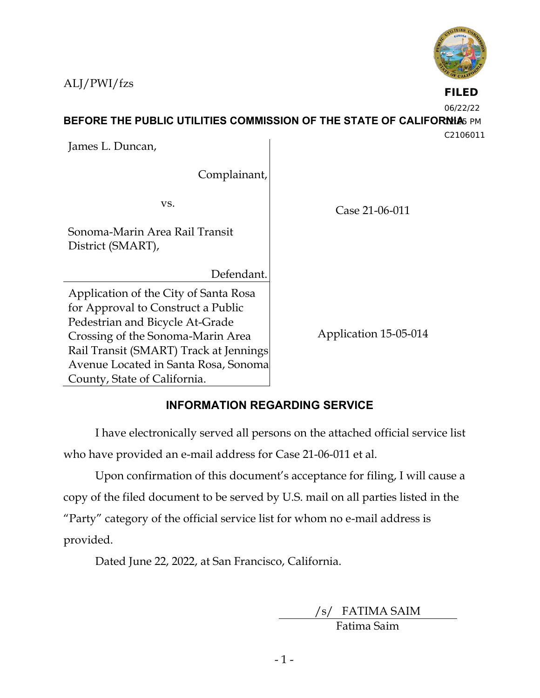ALJ/PWI/fzs



**FILED**

06/22/22

**BEFORE THE PUBLIC UTILITIES COMMISSION OF THE STATE OF CALIFORNIA**S PM

C2106011

James L. Duncan,

Complainant,

vs.

Sonoma-Marin Area Rail Transit District (SMART),

Defendant.

Application of the City of Santa Rosa for Approval to Construct a Public Pedestrian and Bicycle At-Grade Crossing of the Sonoma-Marin Area Rail Transit (SMART) Track at Jennings Avenue Located in Santa Rosa, Sonoma County, State of California.

Case 21-06-011

Application 15-05-014

# **INFORMATION REGARDING SERVICE**

I have electronically served all persons on the attached official service list who have provided an e-mail address for Case 21-06-011 et al.

Upon confirmation of this document's acceptance for filing, I will cause a copy of the filed document to be served by U.S. mail on all parties listed in the "Party" category of the official service list for whom no e-mail address is provided.

Dated June 22, 2022, at San Francisco, California.

/s/ FATIMA SAIM

Fatima Saim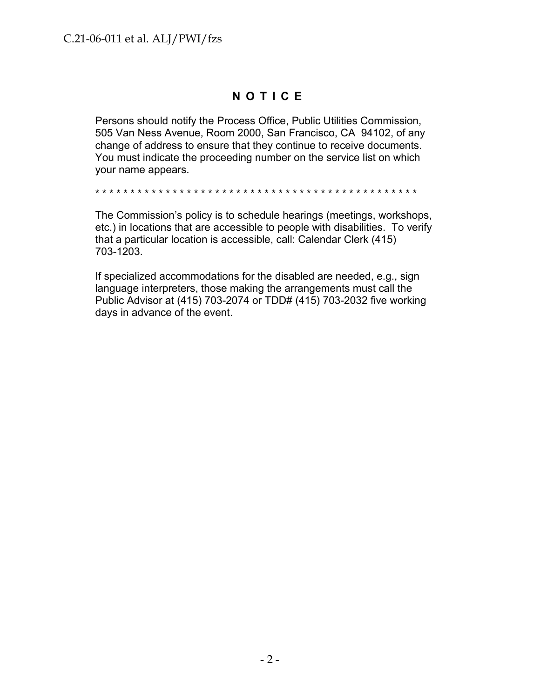# **N O T I C E**

Persons should notify the Process Office, Public Utilities Commission, 505 Van Ness Avenue, Room 2000, San Francisco, CA 94102, of any change of address to ensure that they continue to receive documents. You must indicate the proceeding number on the service list on which your name appears.

\* \* \* \* \* \* \* \* \* \* \* \* \* \* \* \* \* \* \* \* \* \* \* \* \* \* \* \* \* \* \* \* \* \* \* \* \* \* \* \* \* \* \* \* \* \*

The Commission's policy is to schedule hearings (meetings, workshops, etc.) in locations that are accessible to people with disabilities. To verify that a particular location is accessible, call: Calendar Clerk (415) 703-1203.

If specialized accommodations for the disabled are needed, e.g., sign language interpreters, those making the arrangements must call the Public Advisor at (415) 703-2074 or TDD# (415) 703-2032 five working days in advance of the event.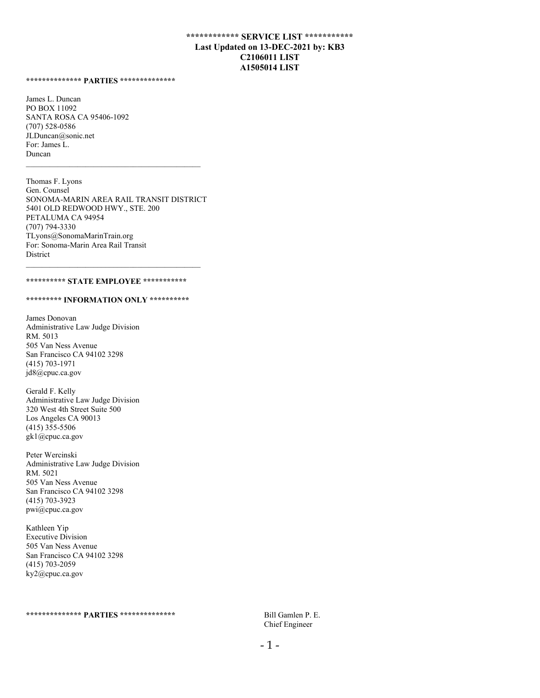## **\*\*\*\*\*\*\*\*\*\*\*\* SERVICE LIST \*\*\*\*\*\*\*\*\*\*\* Last Updated on 13-DEC-2021 by: KB3 C2106011 LIST A1505014 LIST**

**\*\*\*\*\*\*\*\*\*\*\*\*\*\* PARTIES \*\*\*\*\*\*\*\*\*\*\*\*\*\*** 

James L. Duncan PO BOX 11092 SANTA ROSA CA 95406-1092 (707) 528-0586 JLDuncan@sonic.net For: James L. Duncan

Thomas F. Lyons Gen. Counsel SONOMA-MARIN AREA RAIL TRANSIT DISTRICT 5401 OLD REDWOOD HWY., STE. 200 PETALUMA CA 94954 (707) 794-3330 TLyons@SonomaMarinTrain.org For: Sonoma-Marin Area Rail Transit **District** 

### **\*\*\*\*\*\*\*\*\*\* STATE EMPLOYEE \*\*\*\*\*\*\*\*\*\*\***

 $\mathcal{L}_\text{max}$  and the contract of the contract of the contract of the contract of the contract of the contract of the contract of the contract of the contract of the contract of the contract of the contract of the contrac

#### **\*\*\*\*\*\*\*\*\* INFORMATION ONLY \*\*\*\*\*\*\*\*\*\***

James Donovan Administrative Law Judge Division RM. 5013 505 Van Ness Avenue San Francisco CA 94102 3298 (415) 703-1971 jd8@cpuc.ca.gov

Gerald F. Kelly Administrative Law Judge Division 320 West 4th Street Suite 500 Los Angeles CA 90013 (415) 355-5506 gk1@cpuc.ca.gov

Peter Wercinski Administrative Law Judge Division RM. 5021 505 Van Ness Avenue San Francisco CA 94102 3298 (415) 703-3923 pwi@cpuc.ca.gov

Kathleen Yip Executive Division 505 Van Ness Avenue San Francisco CA 94102 3298 (415) 703-2059 ky2@cpuc.ca.gov

Chief Engineer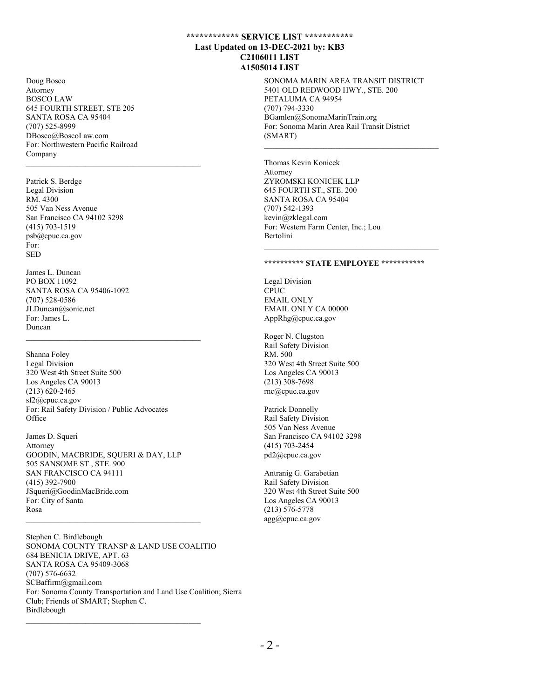## **\*\*\*\*\*\*\*\*\*\*\*\* SERVICE LIST \*\*\*\*\*\*\*\*\*\*\* Last Updated on 13-DEC-2021 by: KB3 C2106011 LIST A1505014 LIST**

SONOMA MARIN AREA TRANSIT DISTRICT 5401 OLD REDWOOD HWY., STE. 200 PETALUMA CA 94954 (707) 794-3330 BGamlen@SonomaMarinTrain.org For: Sonoma Marin Area Rail Transit District (SMART)

Thomas Kevin Konicek Attorney ZYROMSKI KONICEK LLP 645 FOURTH ST., STE. 200 SANTA ROSA CA 95404 (707) 542-1393 kevin@zklegal.com For: Western Farm Center, Inc.; Lou Bertolini

### **\*\*\*\*\*\*\*\*\*\* STATE EMPLOYEE \*\*\*\*\*\*\*\*\*\*\***

Legal Division CPUC EMAIL ONLY EMAIL ONLY CA 00000 AppRhg@cpuc.ca.gov

Roger N. Clugston Rail Safety Division RM. 500 320 West 4th Street Suite 500 Los Angeles CA 90013 (213) 308-7698 rnc@cpuc.ca.gov

Patrick Donnelly Rail Safety Division 505 Van Ness Avenue San Francisco CA 94102 3298 (415) 703-2454 pd2@cpuc.ca.gov

Antranig G. Garabetian Rail Safety Division 320 West 4th Street Suite 500 Los Angeles CA 90013 (213) 576-5778 agg@cpuc.ca.gov

Doug Bosco Attorney BOSCO LAW 645 FOURTH STREET, STE 205 SANTA ROSA CA 95404 (707) 525-8999 DBosco@BoscoLaw.com For: Northwestern Pacific Railroad Company

Patrick S. Berdge Legal Division RM. 4300 505 Van Ness Avenue San Francisco CA 94102 3298 (415) 703-1519 psb@cpuc.ca.gov For: SED

James L. Duncan PO BOX 11092 SANTA ROSA CA 95406-1092 (707) 528-0586 JLDuncan@sonic.net For: James L. Duncan

Shanna Foley Legal Division 320 West 4th Street Suite 500 Los Angeles CA 90013 (213) 620-2465 sf2@cpuc.ca.gov For: Rail Safety Division / Public Advocates **Office** 

James D. Squeri Attorney GOODIN, MACBRIDE, SQUERI & DAY, LLP 505 SANSOME ST., STE. 900 SAN FRANCISCO CA 94111 (415) 392-7900 JSqueri@GoodinMacBride.com For: City of Santa Rosa

Stephen C. Birdlebough SONOMA COUNTY TRANSP & LAND USE COALITIO 684 BENICIA DRIVE, APT. 63 SANTA ROSA CA 95409-3068 (707) 576-6632 SCBaffirm@gmail.com For: Sonoma County Transportation and Land Use Coalition; Sierra Club; Friends of SMART; Stephen C. Birdlebough